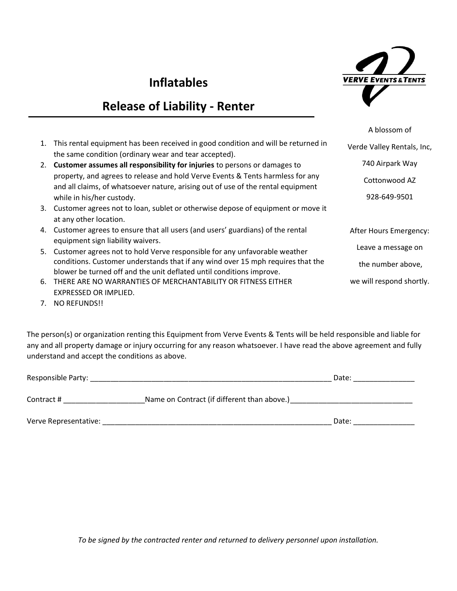## **Inflatables**

## **Release of Liability - Renter**



we will respond shortly.

|    |                                                                                                                                                                    | A blossom of               |
|----|--------------------------------------------------------------------------------------------------------------------------------------------------------------------|----------------------------|
|    | 1. This rental equipment has been received in good condition and will be returned in<br>the same condition (ordinary wear and tear accepted).                      | Verde Valley Rentals, Inc, |
| 2. | Customer assumes all responsibility for injuries to persons or damages to                                                                                          | 740 Airpark Way            |
|    | property, and agrees to release and hold Verve Events & Tents harmless for any<br>and all claims, of whatsoever nature, arising out of use of the rental equipment | Cottonwood AZ              |
|    | while in his/her custody.                                                                                                                                          | 928-649-9501               |
|    | 3. Customer agrees not to loan, sublet or otherwise depose of equipment or move it<br>at any other location.                                                       |                            |
|    | 4. Customer agrees to ensure that all users (and users' guardians) of the rental<br>equipment sign liability waivers.                                              | After Hours Emergency:     |
|    | 5. Customer agrees not to hold Verve responsible for any unfavorable weather                                                                                       | Leave a message on         |
|    | conditions. Customer understands that if any wind over 15 mph requires that the<br>blower be turned off and the unit deflated until conditions improve.            | the number above,          |

- 6. THERE ARE NO WARRANTIES OF MERCHANTABILITY OR FITNESS EITHER EXPRESSED OR IMPLIED.
- 7. NO REFUNDS!!

The person(s) or organization renting this Equipment from Verve Events & Tents will be held responsible and liable for any and all property damage or injury occurring for any reason whatsoever. I have read the above agreement and fully understand and accept the conditions as above.

| Responsible Party:    | Date:                                       |       |
|-----------------------|---------------------------------------------|-------|
| Contract #            | Name on Contract (if different than above.) |       |
| Verve Representative: |                                             | Date: |

*To be signed by the contracted renter and returned to delivery personnel upon installation.*